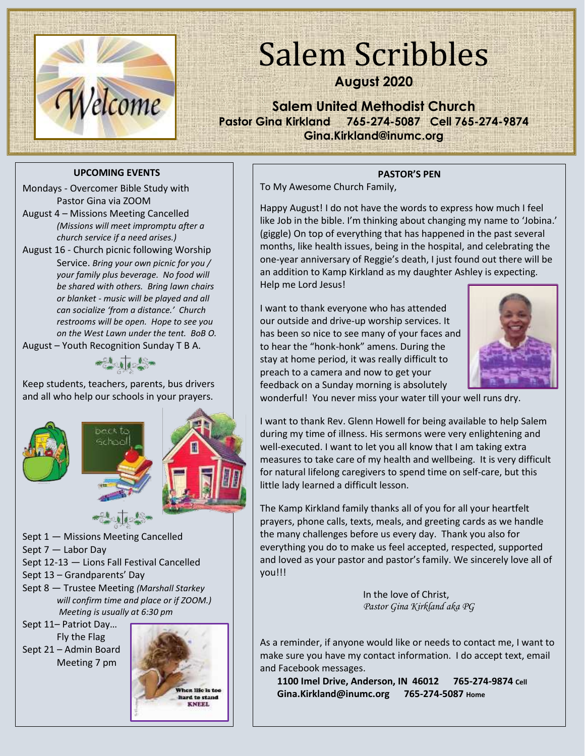

# Salem Scribbles

# **August 2020**

**Salem United Methodist Church Pastor Gina Kirkland 765-274-5087 Cell 765-274-9874 Gina.Kirkland@inumc.org**

### **UPCOMING EVENTS**

Mondays - Overcomer Bible Study with Pastor Gina via ZOOM

- August 4 Missions Meeting Cancelled *(Missions will meet impromptu after a church service if a need arises.)*
- August 16 Church picnic following Worship Service. *Bring your own picnic for you / your family plus beverage. No food will be shared with others. Bring lawn chairs or blanket - music will be played and all can socialize 'from a distance.' Church restrooms will be open. Hope to see you on the West Lawn under the tent. BoB O.*
- August Youth Recognition Sunday T B A.

Keep students, teachers, parents, bus drivers and all who help our schools in your prayers.







Sept 1 ― Missions Meeting Cancelled

Sept 7 ― Labor Day

Sept 12-13 ― Lions Fall Festival Cancelled

- Sept 13 Grandparents' Day
- Sept 8 ― Trustee Meeting *(Marshall Starkey will confirm time and place or if ZOOM.) Meeting is usually at 6:30 pm*

Sept 11– Patriot Day… Fly the Flag Sept 21 – Admin Board

Meeting 7 pm



#### **PASTOR'S PEN** To My Awesome Church Family,

Happy August! I do not have the words to express how much I feel like Job in the bible. I'm thinking about changing my name to 'Jobina.' (giggle) On top of everything that has happened in the past several months, like health issues, being in the hospital, and celebrating the one-year anniversary of Reggie's death, I just found out there will be an addition to Kamp Kirkland as my daughter Ashley is expecting. Help me Lord Jesus!

I want to thank everyone who has attended our outside and drive-up worship services. It has been so nice to see many of your faces and to hear the "honk-honk" amens. During the stay at home period, it was really difficult to preach to a camera and now to get your feedback on a Sunday morning is absolutely



wonderful! You never miss your water till your well runs dry.

I want to thank Rev. Glenn Howell for being available to help Salem during my time of illness. His sermons were very enlightening and well-executed. I want to let you all know that I am taking extra measures to take care of my health and wellbeing. It is very difficult for natural lifelong caregivers to spend time on self-care, but this little lady learned a difficult lesson.

The Kamp Kirkland family thanks all of you for all your heartfelt prayers, phone calls, texts, meals, and greeting cards as we handle the many challenges before us every day. Thank you also for everything you do to make us feel accepted, respected, supported and loved as your pastor and pastor's family. We sincerely love all of you!!!

> In the love of Christ, *Pastor Gina Kirkland aka PG*

As a reminder, if anyone would like or needs to contact me, I want to make sure you have my contact information. I do accept text, email and Facebook messages.

**1100 Imel Drive, Anderson, IN 46012 765-274-9874 Cell Gina.Kirkland@inumc.org 765-274-5087 Home**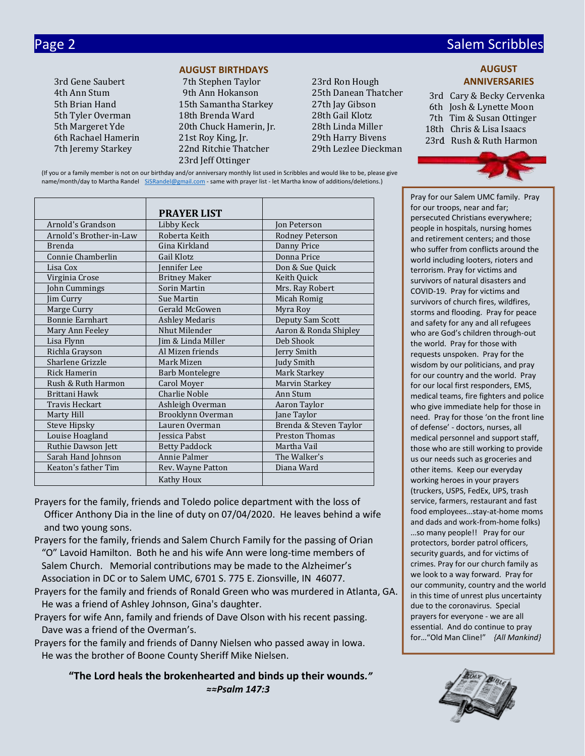# Page 2 Salem Scribbles and Contract Contract Contract Contract Contract Contract Contract Contract Contract Co

3rd Gene Saubert 7th Stephen Taylor 23rd Ron Hough

#### **AUGUST BIRTHDAYS**

4th Ann Stum 9th Ann Hokanson 25th Danean Thatcher 5th Brian Hand 15th Samantha Starkey 27th Jay Gibson 5th Tyler Overman 18th Brenda Ward 28th Gail Klotz 5th Margeret Yde 20th Chuck Hamerin, Jr. 28th Linda Miller 6th Rachael Hamerin 21st Roy King, Jr. 29th Harry Bivens 7th Jeremy Starkey 22nd Ritchie Thatcher 29th Lezlee Dieckman 23rd Jeff Ottinger

### **AUGUST ANNIVERSARIES**

[1](https://www.faithclipart.com/fca/affiliate.do?id=58&coupon=christmas) 23rd Rush & Ruth Harmon3rd Cary & Becky Cervenka 6th Josh & Lynette Moon 7th Tim & Susan Ottinger 18th Chris & Lisa Isaacs

(If you or a family member is not on our birthday and/or anniversary monthly list used in Scribbles and would like to be, please give name/month/day to Martha Randel [SiSRandel@gmail.com](mailto:SiSRandel@gmail.com) - same with prayer list - let Martha know of additions/deletions.)

|                         | <b>PRAYER LIST</b>     |                        |  |
|-------------------------|------------------------|------------------------|--|
| Arnold's Grandson       | Libby Keck             | Ion Peterson           |  |
| Arnold's Brother-in-Law | Roberta Keith          | Rodney Peterson        |  |
| <b>Brenda</b>           | Gina Kirkland          | Danny Price            |  |
| Connie Chamberlin       | Gail Klotz             | Donna Price            |  |
| Lisa Cox                | ennifer Lee            | Don & Sue Quick        |  |
| Virginia Crose          | <b>Britney Maker</b>   | Keith Quick            |  |
| John Cummings           | Sorin Martin           | Mrs. Ray Robert        |  |
| Jim Curry               | Sue Martin             | Micah Romig            |  |
| Marge Curry             | Gerald McGowen         | Myra Roy               |  |
| <b>Bonnie Earnhart</b>  | <b>Ashley Medaris</b>  | Deputy Sam Scott       |  |
| Mary Ann Feeley         | <b>Nhut Milender</b>   | Aaron & Ronda Shipley  |  |
| Lisa Flynn              | Jim & Linda Miller     | Deb Shook              |  |
| Richla Grayson          | Al Mizen friends       | Jerry Smith            |  |
| Sharlene Grizzle        | Mark Mizen             | Judy Smith             |  |
| <b>Rick Hamerin</b>     | <b>Barb Montelegre</b> | Mark Starkey           |  |
| Rush & Ruth Harmon      | Carol Moyer            | Marvin Starkey         |  |
| Brittani Hawk           | Charlie Noble          | Ann Stum               |  |
| <b>Travis Heckart</b>   | Ashleigh Overman       | Aaron Taylor           |  |
| Marty Hill              | Brooklynn Overman      | Jane Taylor            |  |
| <b>Steve Hipsky</b>     | Lauren Overman         | Brenda & Steven Taylor |  |
| Louise Hoagland         | Iessica Pabst          | <b>Preston Thomas</b>  |  |
| Ruthie Dawson Jett      | <b>Betty Paddock</b>   | Martha Vail            |  |
| Sarah Hand Johnson      | Annie Palmer           | The Walker's           |  |
| Keaton's father Tim     | Rev. Wayne Patton      | Diana Ward             |  |
|                         | Kathy Houx             |                        |  |

Prayers for the family, friends and Toledo police department with the loss of Officer Anthony Dia in the line of duty on 07/04/2020. He leaves behind a wife and two young sons.

Prayers for the family, friends and Salem Church Family for the passing of Orian "O" Lavoid Hamilton. Both he and his wife Ann were long-time members of Salem Church. Memorial contributions may be made to the Alzheimer's Association in DC or to Salem UMC, 6701 S. 775 E. Zionsville, IN 46077.

Prayers for the family and friends of Ronald Green who was murdered in Atlanta, GA. He was a friend of Ashley Johnson, Gina's daughter.

Prayers for wife Ann, family and friends of Dave Olson with his recent passing. Dave was a friend of the Overman's.

Prayers for the family and friends of Danny Nielsen who passed away in Iowa. He was the brother of Boone County Sheriff Mike Nielsen.

> **"The Lord heals the brokenhearted and binds up their wounds***." ≈≈Psalm 147:3*

Pray for our Salem UMC family. Pray for our troops, near and far; persecuted Christians everywhere; people in hospitals, nursing homes and retirement centers; and those who suffer from conflicts around the world including looters, rioters and terrorism. Pray for victims and survivors of natural disasters and COVID-19. Pray for victims and survivors of church fires, wildfires, storms and flooding. Pray for peace and safety for any and all refugees who are God's children through-out the world. Pray for those with requests unspoken. Pray for the wisdom by our politicians, and pray for our country and the world. Pray for our local first responders, EMS, medical teams, fire fighters and police who give immediate help for those in need. Pray for those 'on the front line of defense' - doctors, nurses, all medical personnel and support staff, those who are still working to provide us our needs such as groceries and other items. Keep our everyday working heroes in your prayers (truckers, USPS, FedEx, UPS, trash service, farmers, restaurant and fast food employees…stay-at-home moms and dads and work-from-home folks) …so many people!! Pray for our protectors, border patrol officers, security guards, and for victims of crimes. Pray for our church family as we look to a way forward. Pray for our community, country and the world in this time of unrest plus uncertainty due to the coronavirus. Special prayers for everyone - we are all essential. And do continue to pray for…"Old Man Cline!" *{All Mankind}*

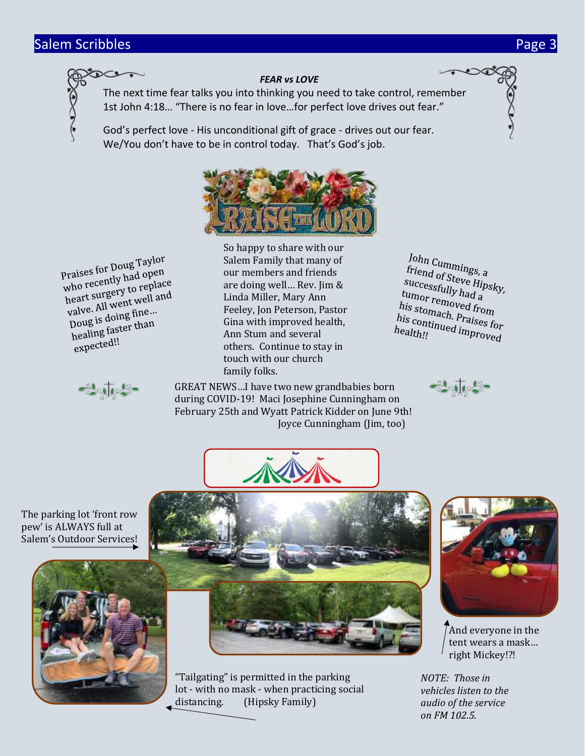# Salem Scribbles **Page 3**

ىتهق

#### *FEAR vs LOVE*

The next time fear talks you into thinking you need to take control, remember 1st John 4:18… "There is no fear in love…for perfect love drives out fear."

God's perfect love - His unconditional gift of grace - drives out our fear. We/You don't have to be in control today. That's God's job.



Praises for Doug Taylor praises for Doug Lay<br>who recently had open<br>who recently to replace who recently had open<br>who recently to replace<br>heart surgery to replace who rec-<br>heart surgery to replace<br>valve. All went well and<br>valve... is doing fine... valve. All went were<br>poug is doing fine...<br>Doug is faster than Doug is doing the<br>healing faster than expected!!



So happy to share with our Salem Family that many of our members and friends are doing well… Rev. Jim & Linda Miller, Mary Ann Feeley, Jon Peterson, Pastor Gina with improved health, Ann Stum and several others. Continue to stay in touch with our church family folks.

GREAT NEWS…I have two new grandbabies born during COVID-19! Maci Josephine Cunningham on February 25th and Wyatt Patrick Kidder on June 9th! Joyce Cunningham (Jim, too)

John Cummings, a<br>friend of steel *Toun Cummings, a<br>friend of Steve Hipsky,<br>successfully had a* successfully had a *caccessfully had a*<br>tumor removed from<br>his stomach, p<sub>rai</sub> *Callor removed from<br>his stomach. Praises for<br>his continued impression* ally stomach. Praises for<br>his continued improved<br>health!! health!!



The parking lot 'front row pew' is ALWAYS full at Salem's Outdoor Services!





"Tailgating" is permitted in the parking lot - with no mask - when practicing social distancing. (Hipsky Family)



And everyone in the tent wears a mask… right Mickey!?!

*NOTE: Those in vehicles listen to the audio of the service on FM 102.5.*

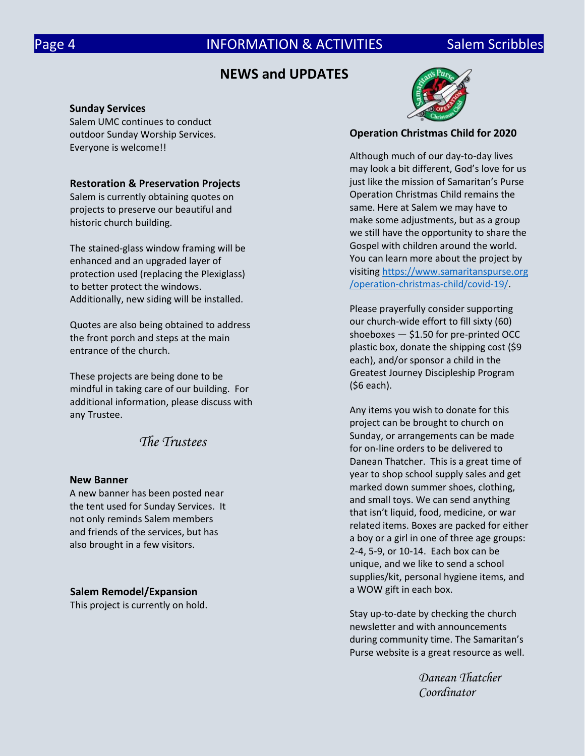# **NEWS and UPDATES**

#### **Sunday Services**

Salem UMC continues to conduct outdoor Sunday Worship Services. Everyone is welcome!!

### **Restoration & Preservation Projects**

Salem is currently obtaining quotes on projects to preserve our beautiful and historic church building.

The stained-glass window framing will be enhanced and an upgraded layer of protection used (replacing the Plexiglass) to better protect the windows. Additionally, new siding will be installed.

Quotes are also being obtained to address the front porch and steps at the main entrance of the church.

These projects are being done to be mindful in taking care of our building. For additional information, please discuss with any Trustee.

## *The Trustees*

#### **New Banner**

A new banner has been posted near the tent used for Sunday Services. It not only reminds Salem members and friends of the services, but has also brought in a few visitors.

#### **Salem Remodel/Expansion**

This project is currently on hold.



#### **Operation Christmas Child for 2020**

Although much of our day-to-day lives may look a bit different, God's love for us just like the mission of Samaritan's Purse Operation Christmas Child remains the same. Here at Salem we may have to make some adjustments, but as a group we still have the opportunity to share the Gospel with children around the world. You can learn more about the project by visiting [https://www.samaritanspurse.org](https://www.samaritanspurse.org/operation-christmas-child/covid-19/) [/operation-christmas-child/covid-19/.](https://www.samaritanspurse.org/operation-christmas-child/covid-19/)

Please prayerfully consider supporting our church-wide effort to fill sixty (60) shoeboxes ― \$1.50 for pre-printed OCC plastic box, donate the shipping cost (\$9 each), and/or sponsor a child in the Greatest Journey Discipleship Program (\$6 each).

Any items you wish to donate for this project can be brought to church on Sunday, or arrangements can be made for on-line orders to be delivered to Danean Thatcher. This is a great time of year to shop school supply sales and get marked down summer shoes, clothing, and small toys. We can send anything that isn't liquid, food, medicine, or war related items. Boxes are packed for either a boy or a girl in one of three age groups: 2-4, 5-9, or 10-14. Each box can be unique, and we like to send a school supplies/kit, personal hygiene items, and a WOW gift in each box.

Stay up-to-date by checking the church newsletter and with announcements during community time. The Samaritan's Purse website is a great resource as well.

> *Danean Thatcher Coordinator*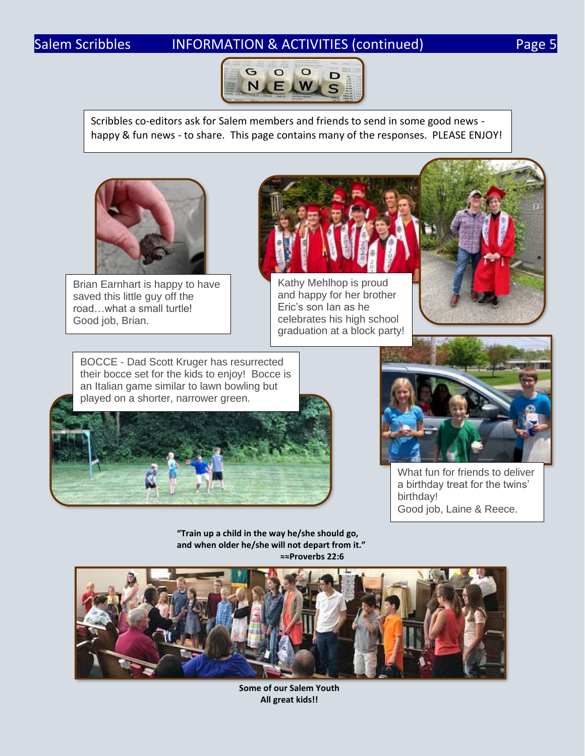# Salem Scribbles INFORMATION & ACTIVITIES (continued) Rage 5





Scribbles co-editors ask for Salem members and friends to send in some good news happy & fun news - to share. This page contains many of the responses. PLEASE ENJOY!



Brian Earnhart is happy to have saved this little guy off the road…what a small turtle! Good job, Brian.



Kathy Mehlhop is proud and happy for her brother Eric's son Ian as he celebrates his high school graduation at a block party!



BOCCE - Dad Scott Kruger has resurrected their bocce set for the kids to enjoy! Bocce is an Italian game similar to lawn bowling but played on a shorter, narrower green.





What fun for friends to deliver a birthday treat for the twins' birthday! Good job, Laine & Reece.

**"Train up a child in the way he/she should go, and when older he/she will not depart from it." ≈≈Proverbs 22:6** 



**Some of our Salem Youth All great kids!!**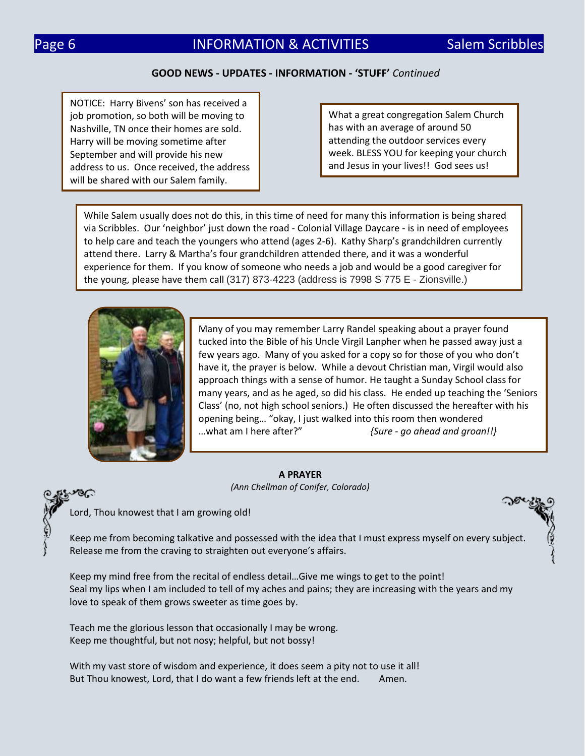# Page 6 **INFORMATION & ACTIVITIES** Salem Scribbles

#### **GOOD NEWS - UPDATES - INFORMATION - 'STUFF'** *Continued*

NOTICE: Harry Bivens' son has received a job promotion, so both will be moving to Nashville, TN once their homes are sold. Harry will be moving sometime after September and will provide his new address to us. Once received, the address will be shared with our Salem family.

What a great congregation Salem Church has with an average of around 50 attending the outdoor services every week. BLESS YOU for keeping your church and Jesus in your lives!! God sees us!

While Salem usually does not do this, in this time of need for many this information is being shared via Scribbles. Our 'neighbor' just down the road - Colonial Village Daycare - is in need of employees to help care and teach the youngers who attend (ages 2-6). Kathy Sharp's grandchildren currently attend there. Larry & Martha's four grandchildren attended there, and it was a wonderful experience for them. If you know of someone who needs a job and would be a good caregiver for the young, please have them call (317) 873-4223 (address is 7998 S 775 E - Zionsville.)



ాం

Many of you may remember Larry Randel speaking about a prayer found tucked into the Bible of his Uncle Virgil Lanpher when he passed away just a few years ago. Many of you asked for a copy so for those of you who don't have it, the prayer is below. While a devout Christian man, Virgil would also approach things with a sense of humor. He taught a Sunday School class for many years, and as he aged, so did his class. He ended up teaching the 'Seniors Class' (no, not high school seniors.) He often discussed the hereafter with his opening being… "okay, I just walked into this room then wondered …what am I here after?" *{Sure - go ahead and groan!!}*

**A PRAYER** *(Ann Chellman of Conifer, Colorado)*

Lord, Thou knowest that I am growing old!

Keep me from becoming talkative and possessed with the idea that I must express myself on every subject. Release me from the craving to straighten out everyone's affairs.

Keep my mind free from the recital of endless detail…Give me wings to get to the point! Seal my lips when I am included to tell of my aches and pains; they are increasing with the years and my love to speak of them grows sweeter as time goes by.

Teach me the glorious lesson that occasionally I may be wrong. Keep me thoughtful, but not nosy; helpful, but not bossy!

With my vast store of wisdom and experience, it does seem a pity not to use it all! But Thou knowest, Lord, that I do want a few friends left at the end. Amen.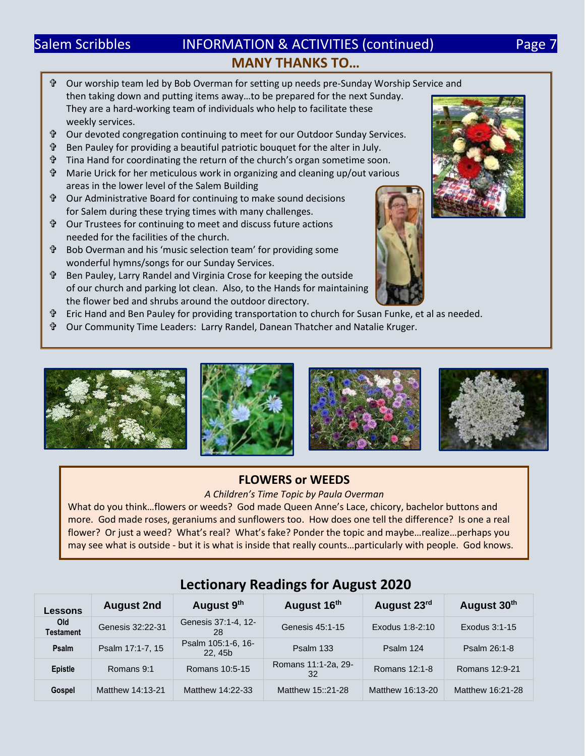# Salem Scribbles **INFORMATION & ACTIVITIES** (continued) Page 7 **MANY THANKS TO…**

- Our worship team led by Bob Overman for setting up needs pre-Sunday Worship Service and then taking down and putting items away…to be prepared for the next Sunday. They are a hard-working team of individuals who help to facilitate these weekly services.
- Our devoted congregation continuing to meet for our Outdoor Sunday Services.
- Ben Pauley for providing a beautiful patriotic bouquet for the alter in July.
- Tina Hand for coordinating the return of the church's organ sometime soon.
- Marie Urick for her meticulous work in organizing and cleaning up/out various areas in the lower level of the Salem Building
- Our Administrative Board for continuing to make sound decisions for Salem during these trying times with many challenges.
- Our Trustees for continuing to meet and discuss future actions needed for the facilities of the church.
- Bob Overman and his 'music selection team' for providing some wonderful hymns/songs for our Sunday Services.
- Ben Pauley, Larry Randel and Virginia Crose for keeping the outside of our church and parking lot clean. Also, to the Hands for maintaining the flower bed and shrubs around the outdoor directory.
- Eric Hand and Ben Pauley for providing transportation to church for Susan Funke, et al as needed.
- Our Community Time Leaders: Larry Randel, Danean Thatcher and Natalie Kruger.









# **FLOWERS or WEEDS**

*A Children's Time Topic by Paula Overman*

What do you think…flowers or weeds? God made Queen Anne's Lace, chicory, bachelor buttons and more. God made roses, geraniums and sunflowers too. How does one tell the difference? Is one a real flower? Or just a weed? What's real? What's fake? Ponder the topic and maybe…realize…perhaps you may see what is outside - but it is what is inside that really counts…particularly with people. God knows.

| Lessons          | <b>August 2nd</b> | August 9th                    | August 16th               | August 23rd      | August 30th      |  |
|------------------|-------------------|-------------------------------|---------------------------|------------------|------------------|--|
| Old<br>Testament | Genesis 32:22-31  | Genesis 37:1-4, 12-           | Genesis 45:1-15           | Exodus 1:8-2:10  | Exodus 3:1-15    |  |
| Psalm            | Psalm 17:1-7, 15  | Psalm 105:1-6, 16-<br>22, 45b | Psalm 133                 | Psalm 124        | Psalm 26:1-8     |  |
| <b>Epistle</b>   | Romans 9:1        | Romans 10:5-15                | Romans 11:1-2a, 29-<br>32 | Romans 12:1-8    | Romans 12:9-21   |  |
| Gospel           | Matthew 14:13-21  | Matthew 14:22-33              | Matthew 15::21-28         | Matthew 16:13-20 | Matthew 16:21-28 |  |

# **Lectionary Readings for August 2020**